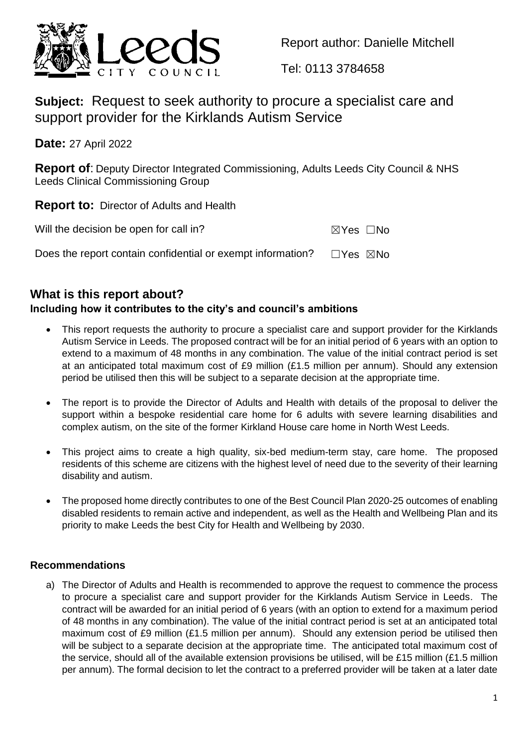

Report author: Danielle Mitchell

Tel: 0113 3784658

**Subject:** Request to seek authority to procure a specialist care and support provider for the Kirklands Autism Service

**Date:** 27 April 2022

**Report of**: Deputy Director Integrated Commissioning, Adults Leeds City Council & NHS Leeds Clinical Commissioning Group

**Report to:** Director of Adults and Health

| Will the decision be open for call in?                                                   | ⊠Yes □No |  |
|------------------------------------------------------------------------------------------|----------|--|
| Does the report contain confidential or exempt information? $\square$ Yes $\boxtimes$ No |          |  |

## **What is this report about?**

### **Including how it contributes to the city's and council's ambitions**

- This report requests the authority to procure a specialist care and support provider for the Kirklands Autism Service in Leeds. The proposed contract will be for an initial period of 6 years with an option to extend to a maximum of 48 months in any combination. The value of the initial contract period is set at an anticipated total maximum cost of £9 million (£1.5 million per annum). Should any extension period be utilised then this will be subject to a separate decision at the appropriate time.
- The report is to provide the Director of Adults and Health with details of the proposal to deliver the support within a bespoke residential care home for 6 adults with severe learning disabilities and complex autism, on the site of the former Kirkland House care home in North West Leeds.
- This project aims to create a high quality, six-bed medium-term stay, care home. The proposed residents of this scheme are citizens with the highest level of need due to the severity of their learning disability and autism.
- The proposed home directly contributes to one of the Best Council Plan 2020-25 outcomes of enabling disabled residents to remain active and independent, as well as the Health and Wellbeing Plan and its priority to make Leeds the best City for Health and Wellbeing by 2030.

### **Recommendations**

a) The Director of Adults and Health is recommended to approve the request to commence the process to procure a specialist care and support provider for the Kirklands Autism Service in Leeds. The contract will be awarded for an initial period of 6 years (with an option to extend for a maximum period of 48 months in any combination). The value of the initial contract period is set at an anticipated total maximum cost of £9 million (£1.5 million per annum). Should any extension period be utilised then will be subject to a separate decision at the appropriate time. The anticipated total maximum cost of the service, should all of the available extension provisions be utilised, will be £15 million (£1.5 million per annum). The formal decision to let the contract to a preferred provider will be taken at a later date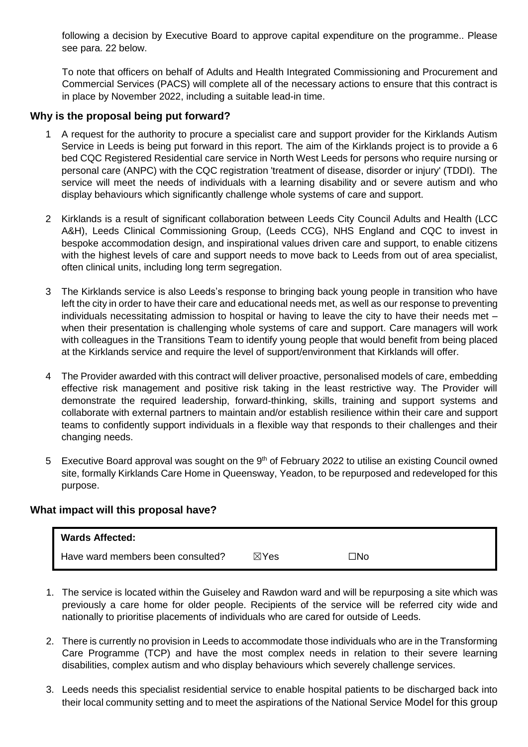following a decision by Executive Board to approve capital expenditure on the programme.. Please see para. 22 below.

To note that officers on behalf of Adults and Health Integrated Commissioning and Procurement and Commercial Services (PACS) will complete all of the necessary actions to ensure that this contract is in place by November 2022, including a suitable lead-in time.

#### **Why is the proposal being put forward?**

- 1 A request for the authority to procure a specialist care and support provider for the Kirklands Autism Service in Leeds is being put forward in this report. The aim of the Kirklands project is to provide a 6 bed CQC Registered Residential care service in North West Leeds for persons who require nursing or personal care (ANPC) with the CQC registration 'treatment of disease, disorder or injury' (TDDI). The service will meet the needs of individuals with a learning disability and or severe autism and who display behaviours which significantly challenge whole systems of care and support.
- 2 Kirklands is a result of significant collaboration between Leeds City Council Adults and Health (LCC A&H), Leeds Clinical Commissioning Group, (Leeds CCG), NHS England and CQC to invest in bespoke accommodation design, and inspirational values driven care and support, to enable citizens with the highest levels of care and support needs to move back to Leeds from out of area specialist, often clinical units, including long term segregation.
- 3 The Kirklands service is also Leeds's response to bringing back young people in transition who have left the city in order to have their care and educational needs met, as well as our response to preventing individuals necessitating admission to hospital or having to leave the city to have their needs met – when their presentation is challenging whole systems of care and support. Care managers will work with colleagues in the Transitions Team to identify young people that would benefit from being placed at the Kirklands service and require the level of support/environment that Kirklands will offer.
- 4 The Provider awarded with this contract will deliver proactive, personalised models of care, embedding effective risk management and positive risk taking in the least restrictive way. The Provider will demonstrate the required leadership, forward-thinking, skills, training and support systems and collaborate with external partners to maintain and/or establish resilience within their care and support teams to confidently support individuals in a flexible way that responds to their challenges and their changing needs.
- 5 Executive Board approval was sought on the 9<sup>th</sup> of February 2022 to utilise an existing Council owned site, formally Kirklands Care Home in Queensway, Yeadon, to be repurposed and redeveloped for this purpose.

#### **What impact will this proposal have?**

| <b>Wards Affected:</b>            |                 |     |
|-----------------------------------|-----------------|-----|
| Have ward members been consulted? | $\boxtimes$ Yes | ⊐No |

- 1. The service is located within the Guiseley and Rawdon ward and will be repurposing a site which was previously a care home for older people. Recipients of the service will be referred city wide and nationally to prioritise placements of individuals who are cared for outside of Leeds.
- 2. There is currently no provision in Leeds to accommodate those individuals who are in the Transforming Care Programme (TCP) and have the most complex needs in relation to their severe learning disabilities, complex autism and who display behaviours which severely challenge services.
- 3. Leeds needs this specialist residential service to enable hospital patients to be discharged back into their local community setting and to meet the aspirations of the National Service Model for this group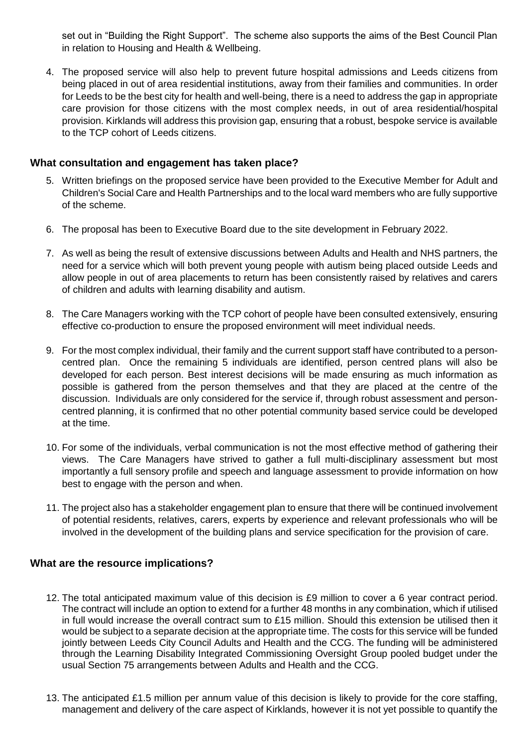set out in "Building the Right Support". The scheme also supports the aims of the Best Council Plan in relation to Housing and Health & Wellbeing.

4. The proposed service will also help to prevent future hospital admissions and Leeds citizens from being placed in out of area residential institutions, away from their families and communities. In order for Leeds to be the best city for health and well-being, there is a need to address the gap in appropriate care provision for those citizens with the most complex needs, in out of area residential/hospital provision. Kirklands will address this provision gap, ensuring that a robust, bespoke service is available to the TCP cohort of Leeds citizens.

#### **What consultation and engagement has taken place?**

- 5. Written briefings on the proposed service have been provided to the Executive Member for Adult and Children's Social Care and Health Partnerships and to the local ward members who are fully supportive of the scheme.
- 6. The proposal has been to Executive Board due to the site development in February 2022.
- 7. As well as being the result of extensive discussions between Adults and Health and NHS partners, the need for a service which will both prevent young people with autism being placed outside Leeds and allow people in out of area placements to return has been consistently raised by relatives and carers of children and adults with learning disability and autism.
- 8. The Care Managers working with the TCP cohort of people have been consulted extensively, ensuring effective co-production to ensure the proposed environment will meet individual needs.
- 9. For the most complex individual, their family and the current support staff have contributed to a personcentred plan. Once the remaining 5 individuals are identified, person centred plans will also be developed for each person. Best interest decisions will be made ensuring as much information as possible is gathered from the person themselves and that they are placed at the centre of the discussion. Individuals are only considered for the service if, through robust assessment and personcentred planning, it is confirmed that no other potential community based service could be developed at the time.
- 10. For some of the individuals, verbal communication is not the most effective method of gathering their views. The Care Managers have strived to gather a full multi-disciplinary assessment but most importantly a full sensory profile and speech and language assessment to provide information on how best to engage with the person and when.
- 11. The project also has a stakeholder engagement plan to ensure that there will be continued involvement of potential residents, relatives, carers, experts by experience and relevant professionals who will be involved in the development of the building plans and service specification for the provision of care.

#### **What are the resource implications?**

- 12. The total anticipated maximum value of this decision is £9 million to cover a 6 year contract period. The contract will include an option to extend for a further 48 months in any combination, which if utilised in full would increase the overall contract sum to £15 million. Should this extension be utilised then it would be subject to a separate decision at the appropriate time. The costs for this service will be funded jointly between Leeds City Council Adults and Health and the CCG. The funding will be administered through the Learning Disability Integrated Commissioning Oversight Group pooled budget under the usual Section 75 arrangements between Adults and Health and the CCG.
- 13. The anticipated £1.5 million per annum value of this decision is likely to provide for the core staffing, management and delivery of the care aspect of Kirklands, however it is not yet possible to quantify the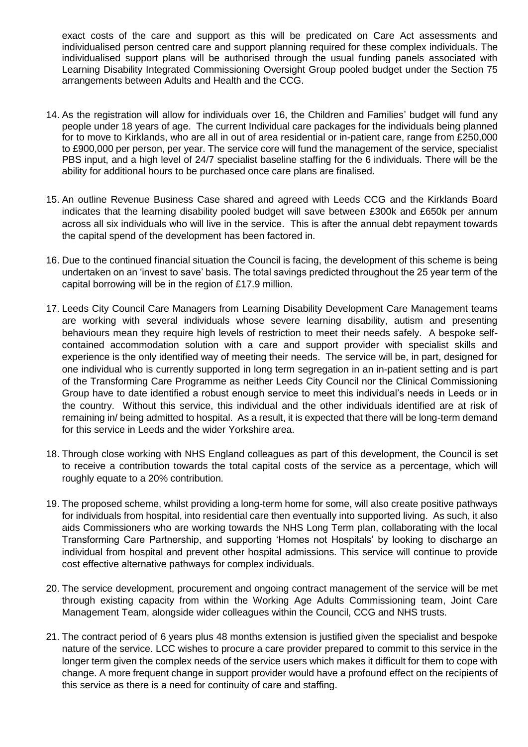exact costs of the care and support as this will be predicated on Care Act assessments and individualised person centred care and support planning required for these complex individuals. The individualised support plans will be authorised through the usual funding panels associated with Learning Disability Integrated Commissioning Oversight Group pooled budget under the Section 75 arrangements between Adults and Health and the CCG.

- 14. As the registration will allow for individuals over 16, the Children and Families' budget will fund any people under 18 years of age. The current Individual care packages for the individuals being planned for to move to Kirklands, who are all in out of area residential or in-patient care, range from £250,000 to £900,000 per person, per year. The service core will fund the management of the service, specialist PBS input, and a high level of 24/7 specialist baseline staffing for the 6 individuals. There will be the ability for additional hours to be purchased once care plans are finalised.
- 15. An outline Revenue Business Case shared and agreed with Leeds CCG and the Kirklands Board indicates that the learning disability pooled budget will save between £300k and £650k per annum across all six individuals who will live in the service. This is after the annual debt repayment towards the capital spend of the development has been factored in.
- 16. Due to the continued financial situation the Council is facing, the development of this scheme is being undertaken on an 'invest to save' basis. The total savings predicted throughout the 25 year term of the capital borrowing will be in the region of £17.9 million.
- 17. Leeds City Council Care Managers from Learning Disability Development Care Management teams are working with several individuals whose severe learning disability, autism and presenting behaviours mean they require high levels of restriction to meet their needs safely. A bespoke selfcontained accommodation solution with a care and support provider with specialist skills and experience is the only identified way of meeting their needs. The service will be, in part, designed for one individual who is currently supported in long term segregation in an in-patient setting and is part of the Transforming Care Programme as neither Leeds City Council nor the Clinical Commissioning Group have to date identified a robust enough service to meet this individual's needs in Leeds or in the country. Without this service, this individual and the other individuals identified are at risk of remaining in/ being admitted to hospital. As a result, it is expected that there will be long-term demand for this service in Leeds and the wider Yorkshire area.
- 18. Through close working with NHS England colleagues as part of this development, the Council is set to receive a contribution towards the total capital costs of the service as a percentage, which will roughly equate to a 20% contribution.
- 19. The proposed scheme, whilst providing a long-term home for some, will also create positive pathways for individuals from hospital, into residential care then eventually into supported living. As such, it also aids Commissioners who are working towards the NHS Long Term plan, collaborating with the local Transforming Care Partnership, and supporting 'Homes not Hospitals' by looking to discharge an individual from hospital and prevent other hospital admissions. This service will continue to provide cost effective alternative pathways for complex individuals.
- 20. The service development, procurement and ongoing contract management of the service will be met through existing capacity from within the Working Age Adults Commissioning team, Joint Care Management Team, alongside wider colleagues within the Council, CCG and NHS trusts.
- 21. The contract period of 6 years plus 48 months extension is justified given the specialist and bespoke nature of the service. LCC wishes to procure a care provider prepared to commit to this service in the longer term given the complex needs of the service users which makes it difficult for them to cope with change. A more frequent change in support provider would have a profound effect on the recipients of this service as there is a need for continuity of care and staffing.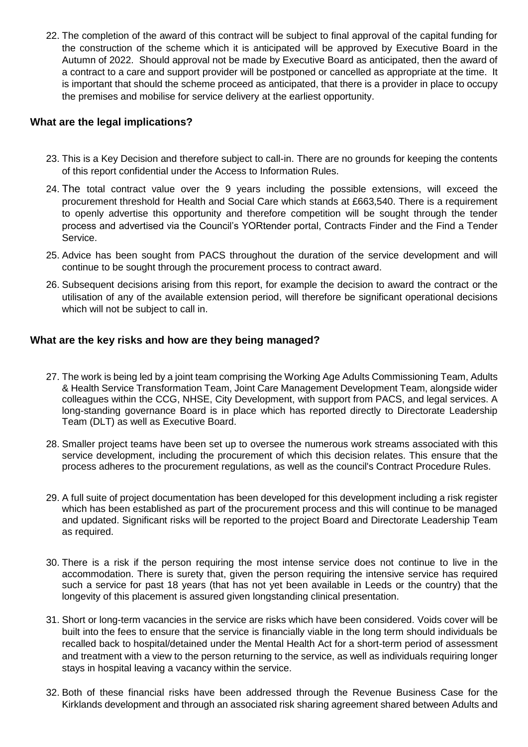22. The completion of the award of this contract will be subject to final approval of the capital funding for the construction of the scheme which it is anticipated will be approved by Executive Board in the Autumn of 2022. Should approval not be made by Executive Board as anticipated, then the award of a contract to a care and support provider will be postponed or cancelled as appropriate at the time. It is important that should the scheme proceed as anticipated, that there is a provider in place to occupy the premises and mobilise for service delivery at the earliest opportunity.

#### **What are the legal implications?**

- 23. This is a Key Decision and therefore subject to call-in. There are no grounds for keeping the contents of this report confidential under the Access to Information Rules.
- 24. The total contract value over the 9 years including the possible extensions, will exceed the procurement threshold for Health and Social Care which stands at £663,540. There is a requirement to openly advertise this opportunity and therefore competition will be sought through the tender process and advertised via the Council's YORtender portal, Contracts Finder and the Find a Tender Service.
- 25. Advice has been sought from PACS throughout the duration of the service development and will continue to be sought through the procurement process to contract award.
- 26. Subsequent decisions arising from this report, for example the decision to award the contract or the utilisation of any of the available extension period, will therefore be significant operational decisions which will not be subject to call in.

#### **What are the key risks and how are they being managed?**

- 27. The work is being led by a joint team comprising the Working Age Adults Commissioning Team, Adults & Health Service Transformation Team, Joint Care Management Development Team, alongside wider colleagues within the CCG, NHSE, City Development, with support from PACS, and legal services. A long-standing governance Board is in place which has reported directly to Directorate Leadership Team (DLT) as well as Executive Board.
- 28. Smaller project teams have been set up to oversee the numerous work streams associated with this service development, including the procurement of which this decision relates. This ensure that the process adheres to the procurement regulations, as well as the council's Contract Procedure Rules.
- 29. A full suite of project documentation has been developed for this development including a risk register which has been established as part of the procurement process and this will continue to be managed and updated. Significant risks will be reported to the project Board and Directorate Leadership Team as required.
- 30. There is a risk if the person requiring the most intense service does not continue to live in the accommodation. There is surety that, given the person requiring the intensive service has required such a service for past 18 years (that has not yet been available in Leeds or the country) that the longevity of this placement is assured given longstanding clinical presentation.
- 31. Short or long-term vacancies in the service are risks which have been considered. Voids cover will be built into the fees to ensure that the service is financially viable in the long term should individuals be recalled back to hospital/detained under the Mental Health Act for a short-term period of assessment and treatment with a view to the person returning to the service, as well as individuals requiring longer stays in hospital leaving a vacancy within the service.
- 32. Both of these financial risks have been addressed through the Revenue Business Case for the Kirklands development and through an associated risk sharing agreement shared between Adults and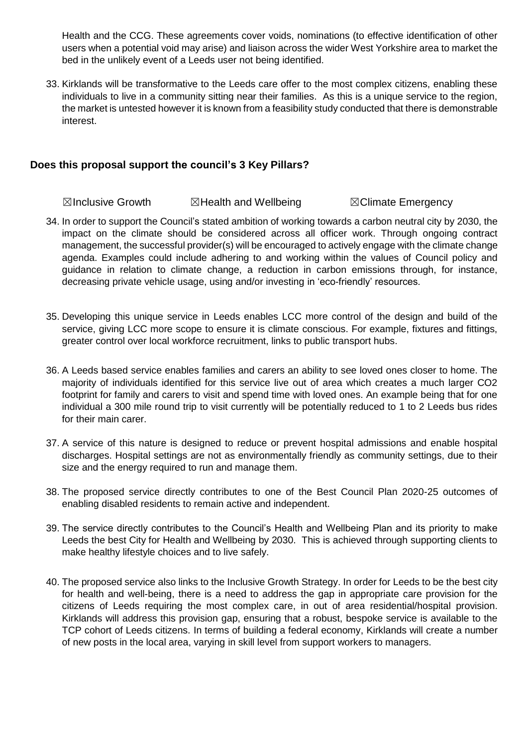Health and the CCG. These agreements cover voids, nominations (to effective identification of other users when a potential void may arise) and liaison across the wider West Yorkshire area to market the bed in the unlikely event of a Leeds user not being identified.

33. Kirklands will be transformative to the Leeds care offer to the most complex citizens, enabling these individuals to live in a community sitting near their families. As this is a unique service to the region, the market is untested however it is known from a feasibility study conducted that there is demonstrable interest.

#### **Does this proposal support the council's 3 Key Pillars?**

**⊠Inclusive Growth 2 ©Health and Wellbeing 7 MIN** Climate Emergency

- 34. In order to support the Council's stated ambition of working towards a carbon neutral city by 2030, the impact on the climate should be considered across all officer work. Through ongoing contract management, the successful provider(s) will be encouraged to actively engage with the climate change agenda. Examples could include adhering to and working within the values of Council policy and guidance in relation to climate change, a reduction in carbon emissions through, for instance, decreasing private vehicle usage, using and/or investing in 'eco-friendly' resources.
- 35. Developing this unique service in Leeds enables LCC more control of the design and build of the service, giving LCC more scope to ensure it is climate conscious. For example, fixtures and fittings, greater control over local workforce recruitment, links to public transport hubs.
- 36. A Leeds based service enables families and carers an ability to see loved ones closer to home. The majority of individuals identified for this service live out of area which creates a much larger CO2 footprint for family and carers to visit and spend time with loved ones. An example being that for one individual a 300 mile round trip to visit currently will be potentially reduced to 1 to 2 Leeds bus rides for their main carer.
- 37. A service of this nature is designed to reduce or prevent hospital admissions and enable hospital discharges. Hospital settings are not as environmentally friendly as community settings, due to their size and the energy required to run and manage them.
- 38. The proposed service directly contributes to one of the Best Council Plan 2020-25 outcomes of enabling disabled residents to remain active and independent.
- 39. The service directly contributes to the Council's Health and Wellbeing Plan and its priority to make Leeds the best City for Health and Wellbeing by 2030. This is achieved through supporting clients to make healthy lifestyle choices and to live safely.
- 40. The proposed service also links to the Inclusive Growth Strategy. In order for Leeds to be the best city for health and well-being, there is a need to address the gap in appropriate care provision for the citizens of Leeds requiring the most complex care, in out of area residential/hospital provision. Kirklands will address this provision gap, ensuring that a robust, bespoke service is available to the TCP cohort of Leeds citizens. In terms of building a federal economy, Kirklands will create a number of new posts in the local area, varying in skill level from support workers to managers.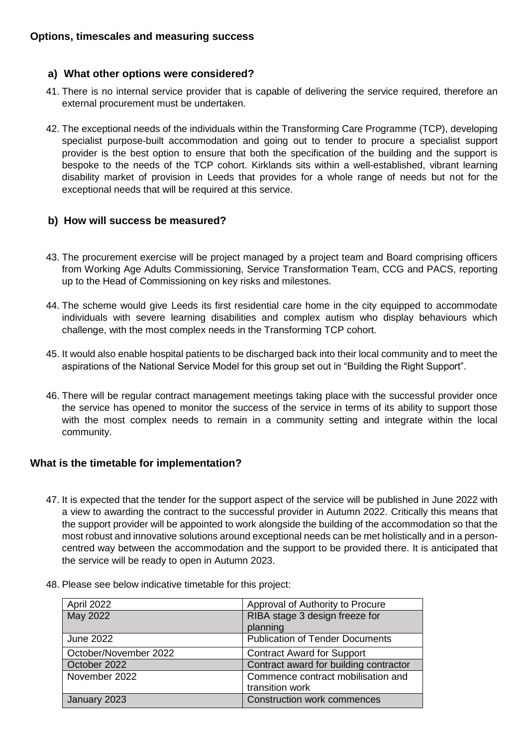#### **a) What other options were considered?**

- 41. There is no internal service provider that is capable of delivering the service required, therefore an external procurement must be undertaken.
- 42. The exceptional needs of the individuals within the Transforming Care Programme (TCP), developing specialist purpose-built accommodation and going out to tender to procure a specialist support provider is the best option to ensure that both the specification of the building and the support is bespoke to the needs of the TCP cohort. Kirklands sits within a well-established, vibrant learning disability market of provision in Leeds that provides for a whole range of needs but not for the exceptional needs that will be required at this service.

#### **b) How will success be measured?**

- 43. The procurement exercise will be project managed by a project team and Board comprising officers from Working Age Adults Commissioning, Service Transformation Team, CCG and PACS, reporting up to the Head of Commissioning on key risks and milestones.
- 44. The scheme would give Leeds its first residential care home in the city equipped to accommodate individuals with severe learning disabilities and complex autism who display behaviours which challenge, with the most complex needs in the Transforming TCP cohort.
- 45. It would also enable hospital patients to be discharged back into their local community and to meet the aspirations of the National Service Model for this group set out in "Building the Right Support".
- 46. There will be regular contract management meetings taking place with the successful provider once the service has opened to monitor the success of the service in terms of its ability to support those with the most complex needs to remain in a community setting and integrate within the local community.

#### **What is the timetable for implementation?**

47. It is expected that the tender for the support aspect of the service will be published in June 2022 with a view to awarding the contract to the successful provider in Autumn 2022. Critically this means that the support provider will be appointed to work alongside the building of the accommodation so that the most robust and innovative solutions around exceptional needs can be met holistically and in a personcentred way between the accommodation and the support to be provided there. It is anticipated that the service will be ready to open in Autumn 2023.

| April 2022            | Approval of Authority to Procure       |
|-----------------------|----------------------------------------|
| May 2022              | RIBA stage 3 design freeze for         |
|                       | planning                               |
| <b>June 2022</b>      | <b>Publication of Tender Documents</b> |
| October/November 2022 | <b>Contract Award for Support</b>      |
| October 2022          | Contract award for building contractor |
| November 2022         | Commence contract mobilisation and     |
|                       | transition work                        |
| January 2023          | <b>Construction work commences</b>     |
|                       |                                        |

48. Please see below indicative timetable for this project: